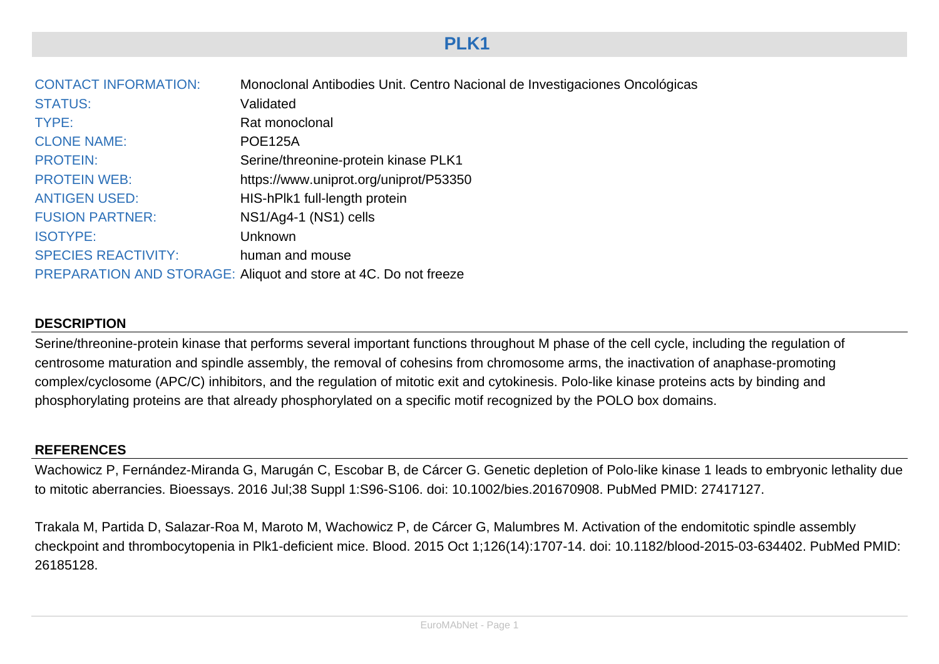# **PLK1**

| <b>CONTACT INFORMATION:</b> | Monoclonal Antibodies Unit. Centro Nacional de Investigaciones Oncológicas |
|-----------------------------|----------------------------------------------------------------------------|
| <b>STATUS:</b>              | Validated                                                                  |
| TYPE:                       | Rat monoclonal                                                             |
| <b>CLONE NAME:</b>          | <b>POE125A</b>                                                             |
| <b>PROTEIN:</b>             | Serine/threonine-protein kinase PLK1                                       |
| <b>PROTEIN WEB:</b>         | https://www.uniprot.org/uniprot/P53350                                     |
| <b>ANTIGEN USED:</b>        | HIS-hPlk1 full-length protein                                              |
| <b>FUSION PARTNER:</b>      | NS1/Ag4-1 (NS1) cells                                                      |
| <b>ISOTYPE:</b>             | Unknown                                                                    |
| <b>SPECIES REACTIVITY:</b>  | human and mouse                                                            |
|                             | PREPARATION AND STORAGE: Aliquot and store at 4C. Do not freeze            |

## **DESCRIPTION**

Serine/threonine-protein kinase that performs several important functions throughout M phase of the cell cycle, including the regulation of centrosome maturation and spindle assembly, the removal of cohesins from chromosome arms, the inactivation of anaphase-promoting complex/cyclosome (APC/C) inhibitors, and the regulation of mitotic exit and cytokinesis. Polo-like kinase proteins acts by binding and phosphorylating proteins are that already phosphorylated on a specific motif recognized by the POLO box domains.

## **REFERENCES**

Wachowicz P, Fernández-Miranda G, Marugán C, Escobar B, de Cárcer G. Genetic depletion of Polo-like kinase 1 leads to embryonic lethality due to mitotic aberrancies. Bioessays. 2016 Jul;38 Suppl 1:S96-S106. doi: 10.1002/bies.201670908. PubMed PMID: 27417127.

Trakala M, Partida D, Salazar-Roa M, Maroto M, Wachowicz P, de Cárcer G, Malumbres M. Activation of the endomitotic spindle assembly checkpoint and thrombocytopenia in Plk1-deficient mice. Blood. 2015 Oct 1;126(14):1707-14. doi: 10.1182/blood-2015-03-634402. PubMed PMID: 26185128.